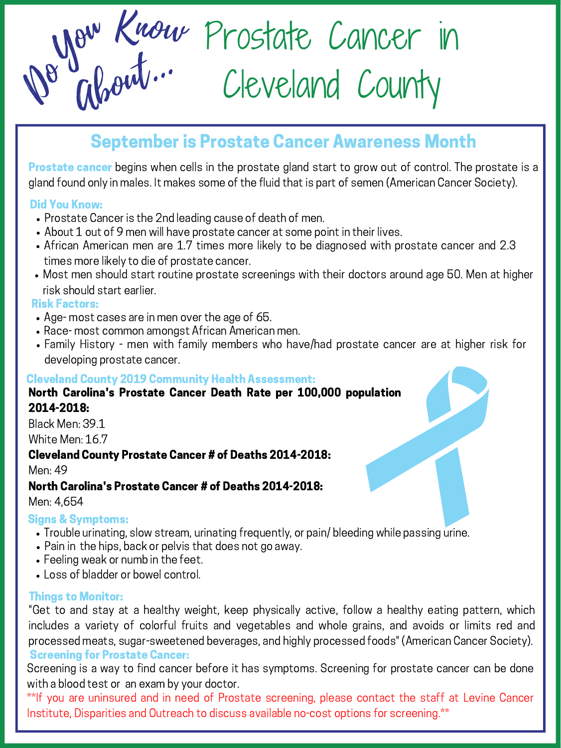

# September is Prostate Cancer Awareness Month

**Prostate cancer** begins when cells in the prostate gland start to grow out of control. The prostate is a gland found only in males. It makes some of the fluid that is part of semen (American Cancer Society).

### Did You Know:

- Prostate Cancer is the 2nd leading cause of death of men.
- About 1 out of 9 men will have prostate cancer at some point in their lives.
- African American men are 1.7 times more likely to be diagnosed with prostate cancer and 2.3 times more likely to die of prostate cancer.
- Most men should start routine prostate screenings with their doctors around age 50. Men at higher risk should start earlier.

### Risk Factors:

- Age- most cases are in men over the age of 65.
- Race- most common amongst African American men.
- Family History men with family members who have/had prostate cancer are at higher risk for developing prostate cancer.

### Cleveland County 2019 Community Health Assessment:

### North Carolina's Prostate Cancer Death Rate per 100,000 population 2014-2018:

Black Men: 39.1

White Men: 16.7

### Cleveland County Prostate Cancer # of Deaths 2014-2018:

Men: 49

# North Carolina's Prostate Cancer # of Deaths 2014-2018:

Men: 4,654

# Signs & Symptoms:

- Trouble urinating, slow stream, urinating frequently, or pain/ bleeding while passing urine.
- Pain in the hips, back or pelvis that does not go away.
- Feeling weak or numb in the feet.
- Loss of bladder or bowel control.

Screening is a way to find cancer before it has symptoms. Screening for prostate cancer can be done with a blood test or an exam by your doctor.

\*\*If you are uninsured and in need of Prostate screening, please contact the staff at Levine Cancer Institute, Disparities and Outreach to discuss available no-cost options for screening.\*\*

Screening for Prostate Cancer: "Get to and stay at a healthy weight, keep physically active, follow a healthy eating pattern, which includes a variety of colorful fruits and vegetables and whole grains, and avoids or limits red and processed meats, sugar-sweetened beverages, and highly processed foods" (American Cancer Society).

## Things to Monitor: